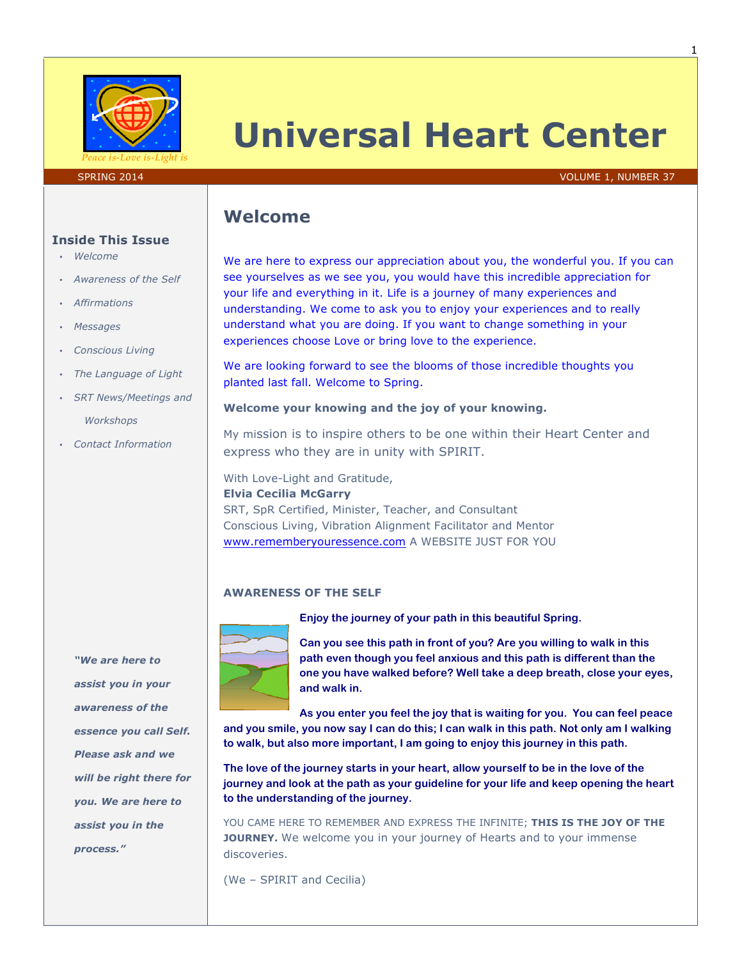

# **Universal Heart Center**

#### SPRING 2014 **VOLUME 1, NUMBER 37**

## **Welcome**

We are here to express our appreciation about you, the wonderful you. If you can see yourselves as we see you, you would have this incredible appreciation for your life and everything in it. Life is a journey of many experiences and understanding. We come to ask you to enjoy your experiences and to really understand what you are doing. If you want to change something in your experiences choose Love or bring love to the experience.

We are looking forward to see the blooms of those incredible thoughts you planted last fall. Welcome to Spring.

### **Welcome your knowing and the joy of your knowing.**

My mission is to inspire others to be one within their Heart Center and express who they are in unity with SPIRIT.

With Love-Light and Gratitude, **Elvia Cecilia McGarry** SRT, SpR Certified, Minister, Teacher, and Consultant Conscious Living, Vibration Alignment Facilitator and Mentor www.rememberyouressence.com A WEBSITE JUST FOR YOU

## **AWARENESS OF THE SELF**



**Enjoy the journey of your path in this beautiful Spring.**

**Can you see this path in front of you? Are you willing to walk in this path even though you feel anxious and this path is different than the one you have walked before? Well take a deep breath, close your eyes, and walk in.**

**As you enter you feel the joy that is waiting for you. You can feel peace and you smile, you now say I can do this; I can walk in this path. Not only am I walking to walk, but also more important, I am going to enjoy this journey in this path.** 

**The love of the journey starts in your heart, allow yourself to be in the love of the journey and look at the path as your guideline for your life and keep opening the heart to the understanding of the journey.**

YOU CAME HERE TO REMEMBER AND EXPRESS THE INFINITE; **THIS IS THE JOY OF THE JOURNEY.** We welcome you in your journey of Hearts and to your immense discoveries.

(We – SPIRIT and Cecilia)

#### **Inside This Issue**

- *Welcome*
- *Awareness of the Self*
- *Affirmations*
- *Messages*
- *Conscious Living*
- *The Language of Light*
- *SRT News/Meetings and* 
	- *Workshops*
- *Contact Information*

*"We are here to assist you in your awareness of the essence you call Self. Please ask and we will be right there for you. We are here to assist you in the process."*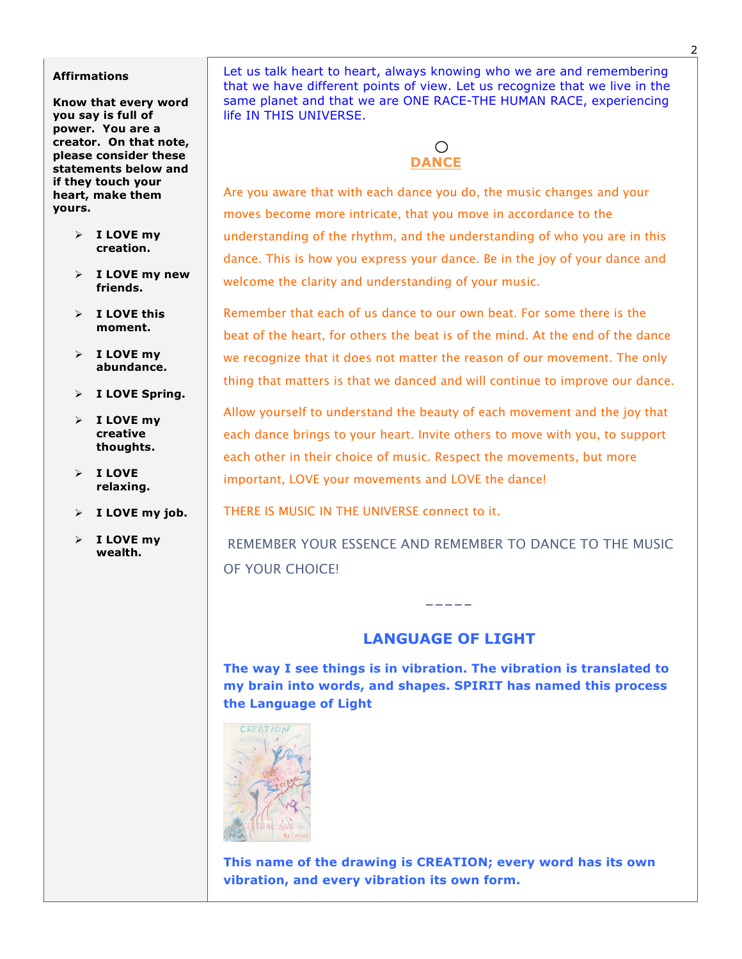#### **Affirmations**

**Know that every word you say is full of power. You are a creator. On that note, please consider these statements below and if they touch your heart, make them yours.**

- Ø **I LOVE my creation.**
- Ø **I LOVE my new friends.**
- Ø **I LOVE this moment.**
- Ø **I LOVE my abundance.**
- Ø **I LOVE Spring.**
- Ø **I LOVE my creative thoughts.**
- Ø **I LOVE relaxing.**
- Ø **I LOVE my job.**
- Ø **I LOVE my wealth.**

Let us talk heart to heart, always knowing who we are and remembering that we have different points of view. Let us recognize that we live in the same planet and that we are ONE RACE-THE HUMAN RACE, experiencing life IN THIS UNIVERSE.

## ○  **DANCE**

Are you aware that with each dance you do, the music changes and your moves become more intricate, that you move in accordance to the understanding of the rhythm, and the understanding of who you are in this dance. This is how you express your dance. Be in the joy of your dance and welcome the clarity and understanding of your music.

Remember that each of us dance to our own beat. For some there is the beat of the heart, for others the beat is of the mind. At the end of the dance we recognize that it does not matter the reason of our movement. The only thing that matters is that we danced and will continue to improve our dance.

Allow yourself to understand the beauty of each movement and the joy that each dance brings to your heart. Invite others to move with you, to support each other in their choice of music. Respect the movements, but more important, LOVE your movements and LOVE the dance!

THERE IS MUSIC IN THE UNIVERSE connect to it.

REMEMBER YOUR ESSENCE AND REMEMBER TO DANCE TO THE MUSIC OF YOUR CHOICE!

## **LANGUAGE OF LIGHT**

-----

**The way I see things is in vibration. The vibration is translated to my brain into words, and shapes. SPIRIT has named this process the Language of Light**



**This name of the drawing is CREATION; every word has its own vibration, and every vibration its own form.**

2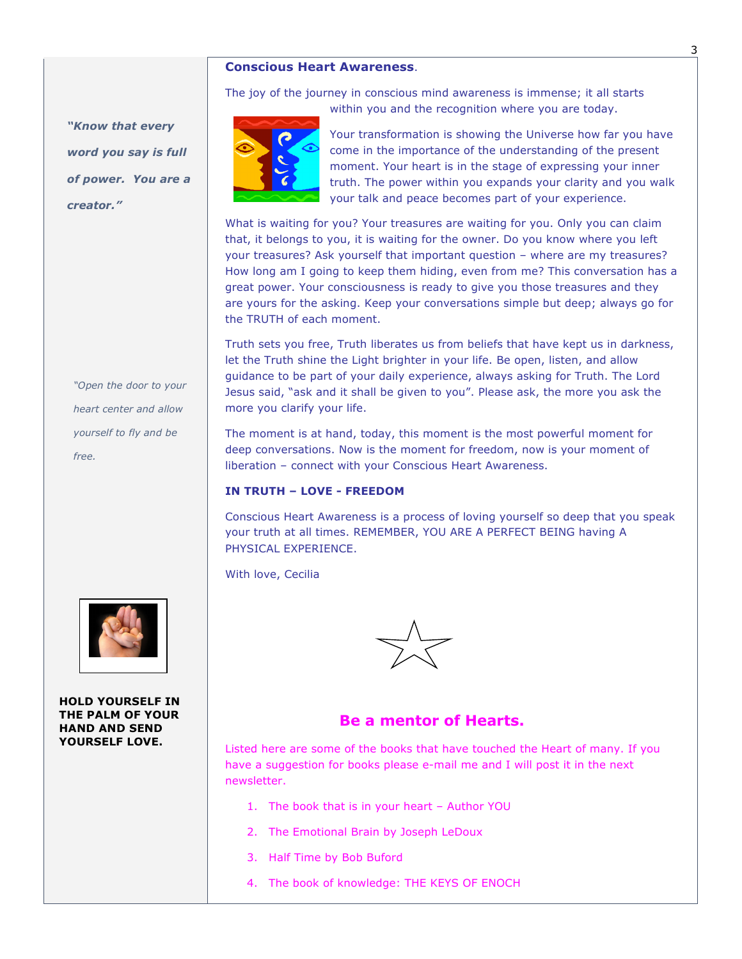## **Conscious Heart Awareness**.

*"Know that every word you say is full of power. You are a creator."*

*"Open the door to your heart center and allow yourself to fly and be free.*



**HOLD YOURSELF IN THE PALM OF YOUR HAND AND SEND YOURSELF LOVE.** 

The joy of the journey in conscious mind awareness is immense; it all starts within you and the recognition where you are today.



Your transformation is showing the Universe how far you have come in the importance of the understanding of the present moment. Your heart is in the stage of expressing your inner truth. The power within you expands your clarity and you walk your talk and peace becomes part of your experience.

What is waiting for you? Your treasures are waiting for you. Only you can claim that, it belongs to you, it is waiting for the owner. Do you know where you left your treasures? Ask yourself that important question – where are my treasures? How long am I going to keep them hiding, even from me? This conversation has a great power. Your consciousness is ready to give you those treasures and they are yours for the asking. Keep your conversations simple but deep; always go for the TRUTH of each moment.

Truth sets you free, Truth liberates us from beliefs that have kept us in darkness, let the Truth shine the Light brighter in your life. Be open, listen, and allow guidance to be part of your daily experience, always asking for Truth. The Lord Jesus said, "ask and it shall be given to you". Please ask, the more you ask the more you clarify your life.

The moment is at hand, today, this moment is the most powerful moment for deep conversations. Now is the moment for freedom, now is your moment of liberation – connect with your Conscious Heart Awareness.

## **IN TRUTH – LOVE - FREEDOM**

Conscious Heart Awareness is a process of loving yourself so deep that you speak your truth at all times. REMEMBER, YOU ARE A PERFECT BEING having A PHYSICAL EXPERIENCE.

With love, Cecilia



## **Be a mentor of Hearts.**

Listed here are some of the books that have touched the Heart of many. If you have a suggestion for books please e-mail me and I will post it in the next newsletter.

- 1. The book that is in your heart Author YOU
- 2. The Emotional Brain by Joseph LeDoux
- 3. Half Time by Bob Buford
- 4. The book of knowledge: THE KEYS OF ENOCH